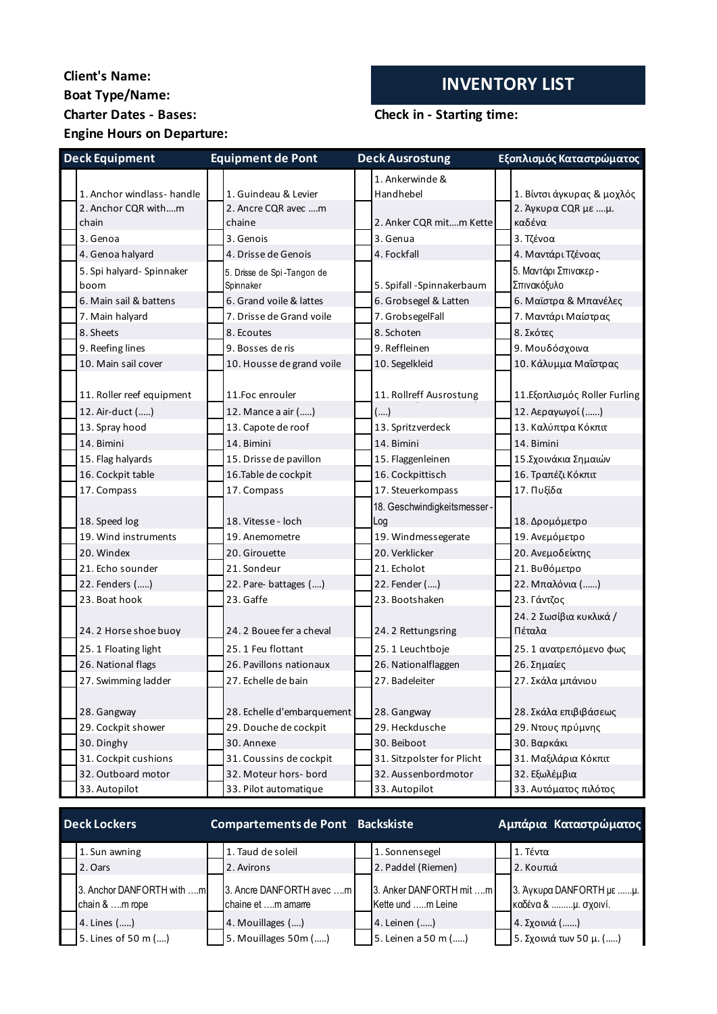## **Client's Name: INVENTORY LIST Boat Type/Name: Charter Dates - Bases: Check in - Starting time: Engine Hours on Departure:**

1. Anchor windlass- handle 1. Guindeau & Levier 1. Ankerwinde & Handhebel 1. Βίντσι άγκυρας & μοχλός 2. Anchor COR with m chain 2. Ancre CQR avec ….m chaine 2. Anker CQR mit….m Kette 2. Άγκυρα CQR με ....μ. καδένα 3. Genoa 3. Genois 3. Genua 3. Τζένοα 4. Genoa halyard 4. Drisse de Genois 4. Fockfall 4. Μαντάρι Τζένοας 5. Spi halyard- Spinnaker boom 5. Drisse de Spi -Tangon de Spinnaker 5. Spifall -Spinnakerbaum 5. Μαντάρι Σπινακερ - Σπινακόξυλο 6. Main sail & battens 6. Grand voile & lattes 6. Grobsegel & Latten 6. Μαϊστρα & Μπανέλες 7. Main halyard 7. Drisse de Grand voile 7. GrobsegelFall 7. Μαντάρι Μαίστρας 8. Sheets **8. Executes** 8. Schoten 8. Schoten 8. Σκότες 9. Reefing lines 9. Bosses de ris 9. Reffleinen 9. Μουδόσχοινα 10. Main sail cover 10. Housse de grand voile 10. Segelkleid 10. Κάλυμμα Μαΐστρας 11. Roller reef equipment 11.Foc enrouler 11. Rollreff Ausrostung 11.Εξοπλισμός Roller Furling 12. Air-duct (.....) 12. Mance a air (.....) 11. Rollreff Ausrostung (….) 12. Αεραγωγοί (......) 13. Spray hood 13. Capote de roof 13. Spritzverdeck 13. Καλύπτρα Κόκπιτ 14. Bimini 14. Bimini 14. Bimini 14. Bimini 15. Flag halyards 15. Drisse de pavillon 15. Flaggenleinen 15.Σχοινάκια Σημαιών 16. Cockpit table 16.Table de cockpit 16. Cockpittisch 16. Τραπέζι Κόκπιτ 17. Compass 17. Compass 17. Compass 17. Steuerkompass 17. Πυξίδα 18. Speed log 18. Vitesse - loch 18. Geschwindigkeitsmesser - Log 18. Δρομόμετρο 19. Wind instruments 19. Anemometre 19. Windmessegerate 19. Ανεμόμετρο 20. Windex 20. Girouette 20. Verklicker 20. Ανεμοδείκτης 21. Echo sounder 21. Sondeur 21. Echolot 21. Βυθόμετρο 22. Fenders (.....) 22. Pare- battages (....) 22. Fender (....) 22. Μπαλόνια (......) 23. Boat hook 23. Gaffe 23. Bootshaken 23. Γάντζος 24. 2 Horse shoe buoy 24. 2 Bouee fer a cheval 24. 2 Rettungsring 24. 2 Σωσίβια κυκλικά / Πέταλα 25. 1 Floating light 25. 1 Feu flottant 25. 1 Leuchtboje 25. 1 ανατρεπόμενο φως 26. National flags 26. Pavillons nationaux 26. Nationalflaggen 26. Σημαίες 27. Swimming ladder 27. Echelle de bain 27. Badeleiter 27. Σκάλα μπάνιου 28. Gangway 28. Echelle d'embarquement 28. Gangway 28. Σκάλα επιβιβάσεως 29. Cockpit shower 29. Douche de cockpit 29. Heckdusche 29. Ντους πρύμνης 30. Dinghy 30. Annexe 30. Beiboot 30. Bαρκάκι 30. Bαρκάκι 31. Cockpit cushions 31. Coussins de cockpit 31. Sitzpolster for Plicht 31. Μαξιλάρια Κόκπιτ 32. Outboard motor 32. Moteur hors- bord 32. Aussenbordmotor 32. Εξωλέμβια 33. Autopilot 33. Pilot automatique 33. Autopilot 33. Αυτόματος πιλότος **Deck Equipment Equipment de Pont Deck Ausrostung Εξοπλισμός Καταστρώματος**

| <b>Deck Lockers</b>                         | <b>Compartements de Pont Backskiste</b>        |                                              | Αμπάρια Καταστρώματος                           |
|---------------------------------------------|------------------------------------------------|----------------------------------------------|-------------------------------------------------|
| 1. Sun awning                               | 1. Taud de soleil                              | 1. Sonnensegel                               | 1. Τέντα                                        |
| 2. Oars                                     | 2. Avirons                                     | 2. Paddel (Riemen)                           | 2. Κουπιά                                       |
| 3. Anchor DANFORTH with m<br>chain & m rope | 3. Ancre DANFORTH avec m<br>chaine et m amarre | 3. Anker DANFORTH mit m<br>Kette und m Leine | 3. Άγκυρα DANFORTH με μ.<br>καδένα & μ. σχοινί. |
| 4. Lines ()                                 | 4. Mouillages ()                               | 4. Leinen ()                                 | 4. Σχοινιά ()                                   |
| 5. Lines of 50 m ()                         | 5. Mouillages 50m ()                           | 5. Leinen a 50 m ()                          | 5. Σχοινιά των 50 μ. ()                         |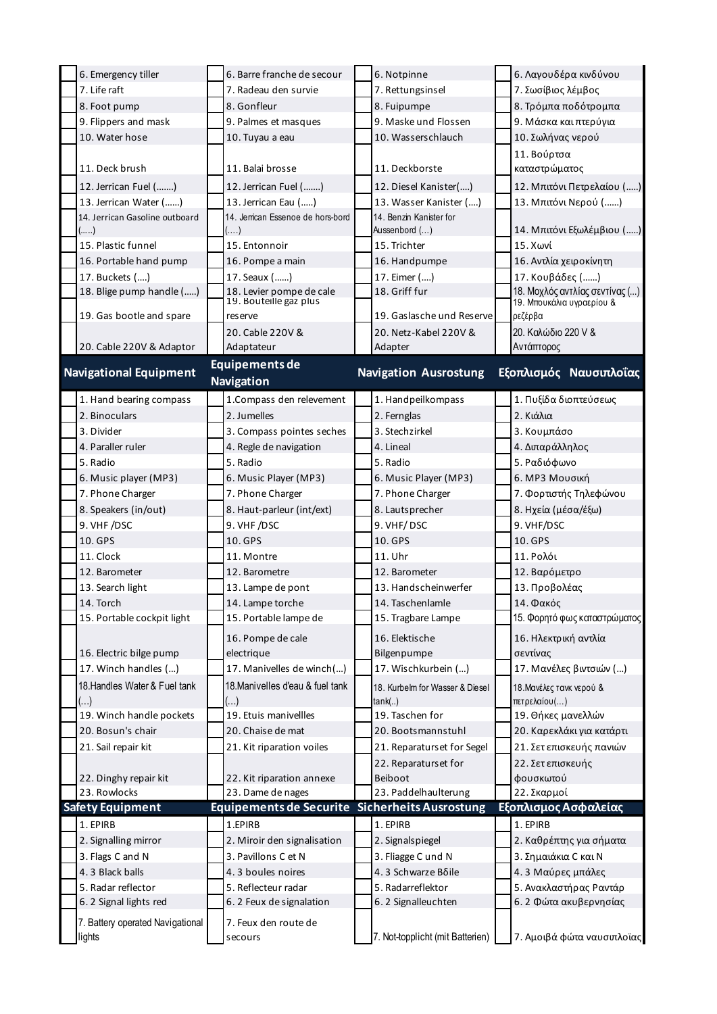| 6. Emergency tiller              | 6. Barre franche de secour                     | 6. Notpinne                      | 6. Λαγουδέρα κινδύνου                |
|----------------------------------|------------------------------------------------|----------------------------------|--------------------------------------|
| 7. Life raft                     | 7. Radeau den survie                           | 7. Rettungsinsel                 | 7. Σωσίβιος λέμβος                   |
| 8. Foot pump                     | 8. Gonfleur                                    | 8. Fuipumpe                      | 8. Τρόμπα ποδότρομπα                 |
| 9. Flippers and mask             | 9. Palmes et masques                           | 9. Maske und Flossen             | 9. Μάσκα και πτερύγια                |
| 10. Water hose                   | 10. Tuyau a eau                                | 10. Wasserschlauch               | 10. Σωλήνας νερού                    |
|                                  |                                                |                                  | 11. Βούρτσα                          |
| 11. Deck brush                   | 11. Balai brosse                               | 11. Deckborste                   | καταστρώματος                        |
| 12. Jerrican Fuel ()             | 12. Jerrican Fuel ()                           | 12. Diesel Kanister()            | 12. Μπιτόνι Πετρελαίου ()            |
| 13. Jerrican Water ()            | 13. Jerrican Eau ()                            | 13. Wasser Kanister ()           | 13. Μπιτόνι Νερού ()                 |
| 14. Jerrican Gasoline outboard   | 14. Jerrican Essenoe de hors-bord              | 14. Benzin Kanister for          |                                      |
| ()                               | $(\ldots)$                                     | Aussenbord ()                    | 14. Μπιτόνι Εξωλέμβιου ()            |
| 15. Plastic funnel               | 15. Entonnoir                                  | 15. Trichter                     | 15. Χωνί                             |
| 16. Portable hand pump           | 16. Pompe a main                               | 16. Handpumpe                    | 16. Αντλία χειροκίνητη               |
| 17. Buckets ()                   | 17. Seaux ()                                   | 17. Eimer ()                     | 17. Κουβάδες ()                      |
| 18. Blige pump handle ()         | 18. Levier pompe de cale                       | 18. Griff fur                    | 18. Μοχλός αντλίας σεντίνας ()       |
| 19. Gas bootle and spare         | 19. Bouteille gaz plus<br>reserve              | 19. Gaslasche und Reserve        | 19. Μπουκάλια υγραερίου &<br>ρεζέρβα |
|                                  |                                                |                                  |                                      |
| 20. Cable 220V & Adaptor         | 20. Cable 220V &<br>Adaptateur                 | 20. Netz-Kabel 220V &<br>Adapter | 20. Καλώδιο 220 V &<br>Αντάπτορος    |
|                                  |                                                |                                  |                                      |
| <b>Navigational Equipment</b>    | <b>Equipements de</b>                          | <b>Navigation Ausrostung</b>     | Εξοπλισμός Ναυσιπλοΐας               |
|                                  | <b>Navigation</b>                              |                                  |                                      |
| 1. Hand bearing compass          | 1. Compass den relevement                      | 1. Handpeilkompass               | 1. Πυξίδα διοπτεύσεως                |
| 2. Binoculars                    | 2. Jumelles                                    | 2. Fernglas                      | 2. Κιάλια                            |
| 3. Divider                       | 3. Compass pointes seches                      | 3. Stechzirkel                   | 3. Κουμπάσο                          |
| 4. Paraller ruler                | 4. Regle de navigation                         | 4. Lineal                        | 4. Διπαράλληλος                      |
| 5. Radio                         | 5. Radio                                       | 5. Radio                         | 5. Ραδιόφωνο                         |
| 6. Music player (MP3)            | 6. Music Player (MP3)                          | 6. Music Player (MP3)            | 6. ΜΡ3 Μουσική                       |
| 7. Phone Charger                 | 7. Phone Charger                               | 7. Phone Charger                 | 7. Φορτιστής Τηλεφώνου               |
| 8. Speakers (in/out)             | 8. Haut-parleur (int/ext)                      | 8. Lautsprecher                  | 8. Ηχεία (μέσα/έξω)                  |
| 9. VHF/DSC                       | 9. VHF/DSC                                     | 9. VHF/DSC                       | 9. VHF/DSC                           |
| 10. GPS                          | 10. GPS                                        | 10. GPS                          | 10. GPS                              |
| 11. Clock                        | 11. Montre                                     | 11. Uhr                          | 11. Ρολόι                            |
| 12. Barometer                    | 12. Barometre                                  | 12. Barometer                    | 12. Βαρόμετρο                        |
| 13. Search light                 | 13. Lampe de pont                              | 13. Handscheinwerfer             | 13. Προβολέας                        |
| 14. Torch                        | 14. Lampe torche                               | 14. Taschenlamle                 | 14. Φακός                            |
| 15. Portable cockpit light       | 15. Portable lampe de                          | 15. Tragbare Lampe               | 15. Φορητό φως καταστρώματος         |
|                                  | 16. Pompe de cale                              | 16. Elektische                   | 16. Ηλεκτρική αντλία                 |
| 16. Electric bilge pump          | electrique                                     | Bilgenpumpe                      | σεντίνας                             |
| 17. Winch handles ()             | 17. Manivelles de winch()                      | 17. Wischkurbein ()              | 17. Μανέλες βιντσιών ()              |
| 18. Handles Water & Fuel tank    | 18. Manivelles d'eau & fuel tank               | 18. Kurbelm for Wasser & Diesel  | 18. Μανέλες τανκ νερού &             |
| $(\ldots)$                       | $(\ldots)$                                     | tank()                           | πετρελαίου()                         |
| 19. Winch handle pockets         | 19. Etuis manivellles                          | 19. Taschen for                  | 19. Θήκες μανελλών                   |
| 20. Bosun's chair                | 20. Chaise de mat                              | 20. Bootsmannstuhl               | 20. Καρεκλάκι για κατάρτι            |
| 21. Sail repair kit              | 21. Kit riparation voiles                      | 21. Reparaturset for Segel       | 21. Σετ επισκευής πανιών             |
|                                  |                                                | 22. Reparaturset for             | 22. Σετ επισκευής                    |
| 22. Dinghy repair kit            | 22. Kit riparation annexe                      | Beiboot                          | φουσκωτού                            |
| 23. Rowlocks                     | 23. Dame de nages                              | 23. Paddelhaulterung             | 22. Σκαρμοί                          |
| <b>Safety Equipment</b>          | Equipements de Securite Sicherheits Ausrostung |                                  | Εξοπλισμος Ασφαλείας                 |
| 1. EPIRB                         | 1.EPIRB                                        | 1. EPIRB                         | 1. EPIRB                             |
|                                  |                                                | 2. Signalspiegel                 | 2. Καθρέπτης για σήματα              |
| 2. Signalling mirror             | 2. Miroir den signalisation                    |                                  |                                      |
| 3. Flags C and N                 | 3. Pavillons C et N                            | 3. Fliagge C und N               | 3. Σημαιάκια C και N                 |
| 4.3 Black balls                  | 4.3 boules noires                              | 4.3 Schwarze Bδile               | 4.3 Μαύρες μπάλες                    |
| 5. Radar reflector               | 5. Reflecteur radar                            | 5. Radarreflektor                | 5. Ανακλαστήρας Ραντάρ               |
| 6.2 Signal lights red            | 6.2 Feux de signalation                        | 6.2 Signalleuchten               | 6. 2 Φώτα ακυβερνησίας               |
| 7. Battery operated Navigational | 7. Feux den route de                           |                                  |                                      |
|                                  |                                                |                                  |                                      |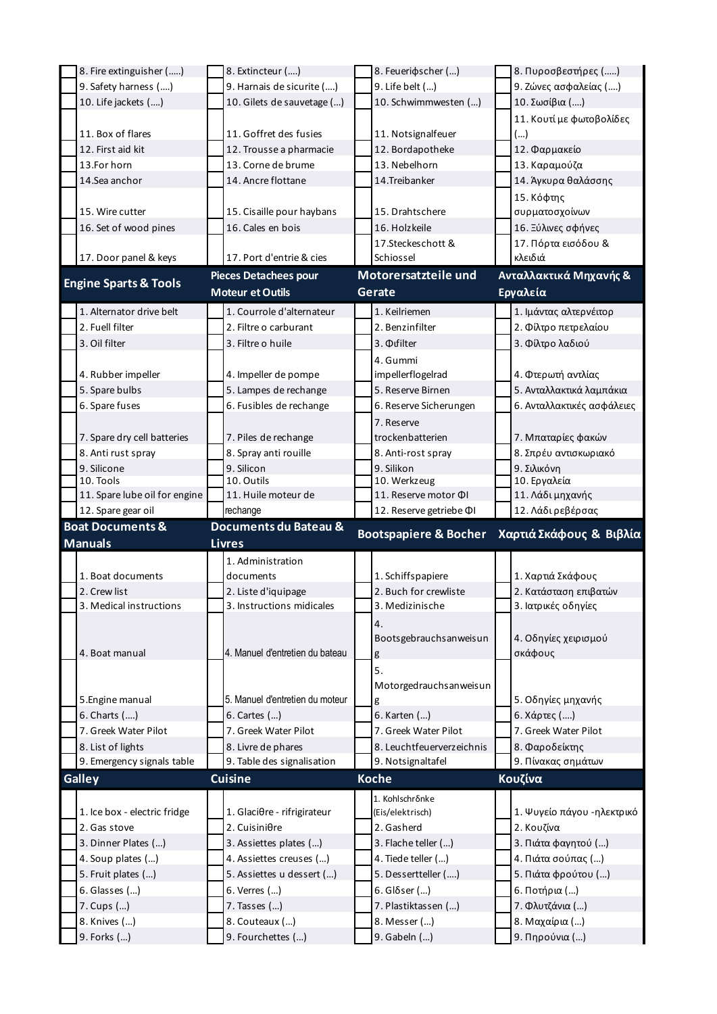| 8. Fire extinguisher ()          | 8. Extincteur ()                    | 8. Feueridscher ()                  | 8. Πυροσβεστήρες ()              |
|----------------------------------|-------------------------------------|-------------------------------------|----------------------------------|
| 9. Safety harness ()             | 9. Harnais de sicurite ()           | 9. Life belt ()                     | 9. Ζώνες ασφαλείας ()            |
| 10. Life jackets ()              | 10. Gilets de sauvetage ()          | 10. Schwimmwesten ()                | 10. Σωσίβια ()                   |
|                                  |                                     |                                     | 11. Κουτί με φωτοβολίδες         |
| 11. Box of flares                | 11. Goffret des fusies              | 11. Notsignalfeuer                  | ()                               |
| 12. First aid kit                | 12. Trousse a pharmacie             | 12. Bordapotheke                    | 12. Φαρμακείο                    |
| 13.For horn                      | 13. Corne de brume                  | 13. Nebelhorn                       | 13. Καραμούζα                    |
| 14.Sea anchor                    | 14. Ancre flottane                  | 14.Treibanker                       | 14. Άγκυρα θαλάσσης              |
|                                  |                                     |                                     |                                  |
|                                  |                                     |                                     | 15. Κόφτης                       |
| 15. Wire cutter                  | 15. Cisaille pour haybans           | 15. Drahtschere                     | συρματοσχοίνων                   |
| 16. Set of wood pines            | 16. Cales en bois                   | 16. Holzkeile                       | 16. Ξύλινες σφήνες               |
|                                  |                                     | 17.Steckeschott &                   | 17. Πόρτα εισόδου &              |
| 17. Door panel & keys            | 17. Port d'entrie & cies            | Schiossel                           | κλειδιά                          |
|                                  | <b>Pieces Detachees pour</b>        | Motorersatzteile und                | Ανταλλακτικά Μηχανής &           |
| <b>Engine Sparts &amp; Tools</b> | <b>Moteur et Outils</b>             | Gerate                              | Εργαλεία                         |
| 1. Alternator drive belt         | 1. Courrole d'alternateur           | 1. Keilriemen                       | 1. Ιμάντας αλτερνέιτορ           |
| 2. Fuell filter                  | 2. Filtre o carburant               | 2. Benzinfilter                     | 2. Φίλτρο πετρελαίου             |
| 3. Oil filter                    | 3. Filtre o huile                   | 3. <b>Oufilter</b>                  | 3. Φίλτρο λαδιού                 |
|                                  |                                     |                                     |                                  |
|                                  |                                     | 4. Gummi                            |                                  |
| 4. Rubber impeller               | 4. Impeller de pompe                | impellerflogelrad                   | 4. Φτερωτή αντλίας               |
| 5. Spare bulbs                   | 5. Lampes de rechange               | 5. Reserve Birnen                   | 5. Ανταλλακτικά λαμπάκια         |
| 6. Spare fuses                   | 6. Fusibles de rechange             | 6. Reserve Sicherungen              | 6. Ανταλλακτικές ασφάλειες       |
|                                  |                                     | 7. Reserve                          |                                  |
| 7. Spare dry cell batteries      | 7. Piles de rechange                | trockenbatterien                    | 7. Μπαταρίες φακών               |
| 8. Anti rust spray               | 8. Spray anti rouille               | 8. Anti-rost spray                  | 8. Σπρέυ αντισκωριακό            |
| 9. Silicone                      | 9. Silicon                          | 9. Silikon                          | 9. Σιλικόνη                      |
| 10. Tools                        | 10. Outils                          | 10. Werkzeug                        | 10. Εργαλεία                     |
| 11. Spare lube oil for engine    | 11. Huile moteur de                 | 11. Reserve motor ΦI                | 11. Λάδι μηχανής                 |
|                                  | rechange                            | 12. Reserve getriebe ΦI             | 12. Λάδι ρεβέρσας                |
| 12. Spare gear oil               |                                     |                                     |                                  |
| <b>Boat Documents &amp;</b>      | Documents du Bateau &               |                                     |                                  |
| <b>Manuals</b>                   | <b>Livres</b>                       | <b>Bootspapiere &amp; Bocher</b>    | Χαρτιά Σκάφους & Βιβλία          |
|                                  |                                     |                                     |                                  |
| 1. Boat documents                | 1. Administration<br>documents      |                                     |                                  |
|                                  |                                     | 1. Schiffspapiere                   | 1. Χαρτιά Σκάφους                |
| 2. Crew list                     | 2. Liste d'iquipage                 | 2. Buch for crewliste               | 2. Κατάσταση επιβατών            |
| 3. Medical instructions          | 3. Instructions midicales           | 3. Medizinische                     | 3. Ιατρικές οδηγίες              |
|                                  |                                     | 4.                                  |                                  |
|                                  |                                     | Bootsgebrauchsanweisun              | 4. Οδηγίες χειρισμού             |
| 4. Boat manual                   | 4. Manuel d'entretien du bateau     | g                                   | σκάφους                          |
|                                  |                                     | 5.                                  |                                  |
|                                  |                                     | Motorgedrauchsanweisun              |                                  |
| 5.Engine manual                  | 5. Manuel d'entretien du moteur     | g                                   | 5. Οδηγίες μηχανής               |
| 6. Charts ()                     | 6. Cartes ()                        | 6. Karten ()                        | 6. Χάρτες ()                     |
| 7. Greek Water Pilot             | 7. Greek Water Pilot                | 7. Greek Water Pilot                | 7. Greek Water Pilot             |
| 8. List of lights                | 8. Livre de phares                  | 8. Leuchtfeuerverzeichnis           | 8. Φαροδείκτης                   |
| 9. Emergency signals table       | 9. Table des signalisation          | 9. Notsignaltafel                   | 9. Πίνακας σημάτων               |
| <b>Galley</b>                    | <b>Cuisine</b>                      | <b>Koche</b>                        | Κουζίνα                          |
|                                  |                                     |                                     |                                  |
|                                  |                                     | 1. Kohlschronke<br>(Eis/elektrisch) |                                  |
| 1. Ice box - electric fridge     | 1. Glaciθre - rifrigirateur         |                                     | 1. Ψυγείο πάγου - ηλεκτρικό      |
| 2. Gas stove                     | $2.$ Cuisini $\theta$ re            | 2. Gasherd                          | 2. Κουζίνα                       |
| 3. Dinner Plates ()              | 3. Assiettes plates ()              | 3. Flache teller ()                 | 3. Πιάτα φαγητού ()              |
| 4. Soup plates ()                | 4. Assiettes creuses ()             | 4. Tiede teller ()                  | 4. Πιάτα σούπας ()               |
| 5. Fruit plates ()               | 5. Assiettes u dessert ()           | 5. Dessertteller ()                 | 5. Πιάτα φρούτου ()              |
| 6. Glasses ()                    | 6. Verres ()                        | $6.$ Gl $\delta$ ser $()$           | 6. Ποτήρια ()                    |
| 7. Cups ()                       | 7. Tasses ()                        | 7. Plastiktassen ()                 | 7. Φλυτζάνια ()                  |
| 8. Knives ()<br>9. Forks ()      | 8. Couteaux ()<br>9. Fourchettes () | 8. Messer ()<br>9. Gabeln ()        | 8. Μαχαίρια ()<br>9. Πηρούνια () |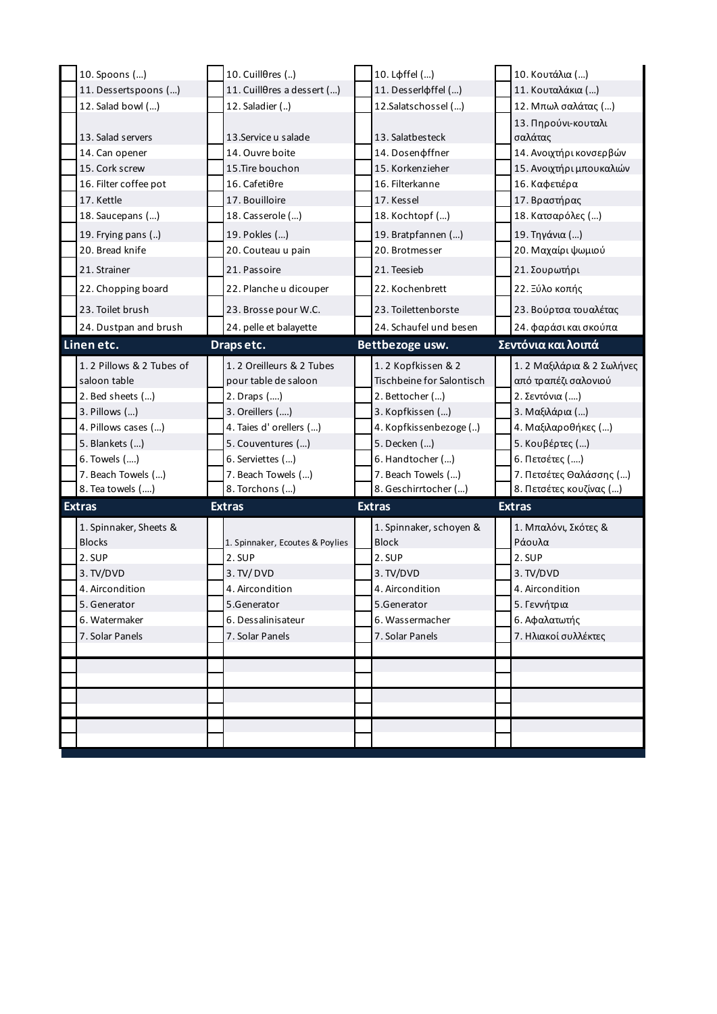| 10. Spoons ()            | 10. Cuillθres ()                | 10. Lфffel ()             | 10. Κουτάλια ()            |
|--------------------------|---------------------------------|---------------------------|----------------------------|
| 11. Dessertspoons ()     | 11. CuillOres a dessert ()      | 11. Desserlφffel ()       | 11. Κουταλάκια ()          |
| 12. Salad bowl ()        | 12. Saladier ()                 | 12.Salatschossel ()       | 12. Μπωλ σαλάτας ()        |
|                          |                                 |                           | 13. Πηρούνι-κουταλι        |
| 13. Salad servers        | 13. Service u salade            | 13. Salatbesteck          | σαλάτας                    |
| 14. Can opener           | 14. Ouvre boite                 | 14. Dosen of fner         | 14. Ανοιχτήρι κονσερβών    |
| 15. Cork screw           | 15. Tire bouchon                | 15. Korkenzieher          | 15. Ανοιχτήρι μπουκαλιών   |
| 16. Filter coffee pot    | 16. Cafetiθre                   | 16. Filterkanne           | 16. Καφετιέρα              |
| 17. Kettle               | 17. Bouilloire                  | 17. Kessel                | 17. Βραστήρας              |
| 18. Saucepans ()         | 18. Casserole ()                | 18. Kochtopf ()           | 18. Κατσαρόλες ()          |
| 19. Frying pans ()       | 19. Pokles ()                   | 19. Bratpfannen ()        | 19. Τηγάνια ()             |
| 20. Bread knife          | 20. Couteau u pain              | 20. Brotmesser            | 20. Μαχαίρι ψωμιού         |
| 21. Strainer             | 21. Passoire                    | 21. Teesieb               | 21. Σουρωτήρι              |
| 22. Chopping board       | 22. Planche u dicouper          | 22. Kochenbrett           | 22. Ξύλο κοπής             |
| 23. Toilet brush         | 23. Brosse pour W.C.            | 23. Toilettenborste       | 23. Βούρτσα τουαλέτας      |
| 24. Dustpan and brush    | 24. pelle et balayette          | 24. Schaufel und besen    | 24. φαράσι και σκούπα      |
| Linen etc.               | Draps etc.                      | Bettbezoge usw.           | Σεντόνια και λοιπά         |
| 1.2 Pillows & 2 Tubes of | 1.2 Oreilleurs & 2 Tubes        | 1.2 Kopfkissen & 2        | 1. 2 Μαξιλάρια & 2 Σωλήνες |
| saloon table             | pour table de saloon            | Tischbeine for Salontisch | από τραπέζι σαλονιού       |
| 2. Bed sheets ()         | 2. Draps ()                     | 2. Bettocher ()           | 2. Σεντόνια ()             |
| 3. Pillows ()            | 3. Oreillers ()                 | 3. Kopfkissen ()          | 3. Μαξιλάρια ()            |
| 4. Pillows cases ()      | 4. Taies d'orellers ()          | 4. Kopfkissenbezoge ()    | 4. Μαξιλαροθήκες ()        |
| 5. Blankets ()           | 5. Couventures ()               | 5. Decken ()              | 5. Κουβέρτες ()            |
| 6. Towels ()             | 6. Serviettes ()                | 6. Handtocher ()          | 6. Πετσέτες ()             |
| 7. Beach Towels ()       | 7. Beach Towels ()              | 7. Beach Towels ()        | 7. Πετσέτες Θαλάσσης ()    |
| 8. Tea towels ()         | 8. Torchons ()                  | 8. Geschirrtocher ()      | 8. Πετσέτες κουζίνας ()    |
| <b>Extras</b>            | <b>Extras</b>                   | <b>Extras</b>             | <b>Extras</b>              |
| 1. Spinnaker, Sheets &   |                                 | 1. Spinnaker, schoyen &   | 1. Μπαλόνι, Σκότες &       |
| <b>Blocks</b>            | 1. Spinnaker, Ecoutes & Poylies | <b>Block</b>              | Ράουλα                     |
| 2. SUP                   | 2. SUP                          | 2. SUP                    | 2. SUP                     |
| 3. TV/DVD                | 3. TV/ DVD                      | 3. TV/DVD                 | 3. TV/DVD                  |
| 4. Aircondition          | 4. Aircondition                 | 4. Aircondition           | 4. Aircondition            |
| 5. Generator             | 5.Generator                     | 5.Generator               | 5. Γεννήτρια               |
| 6. Watermaker            | 6. Dessalinisateur              | 6. Wassermacher           | 6. Αφαλατωτής              |
| 7. Solar Panels          | 7. Solar Panels                 | 7. Solar Panels           | 7. Ηλιακοί συλλέκτες       |
|                          |                                 |                           |                            |
|                          |                                 |                           |                            |
|                          |                                 |                           |                            |
|                          |                                 |                           |                            |
|                          |                                 |                           |                            |
|                          |                                 |                           |                            |